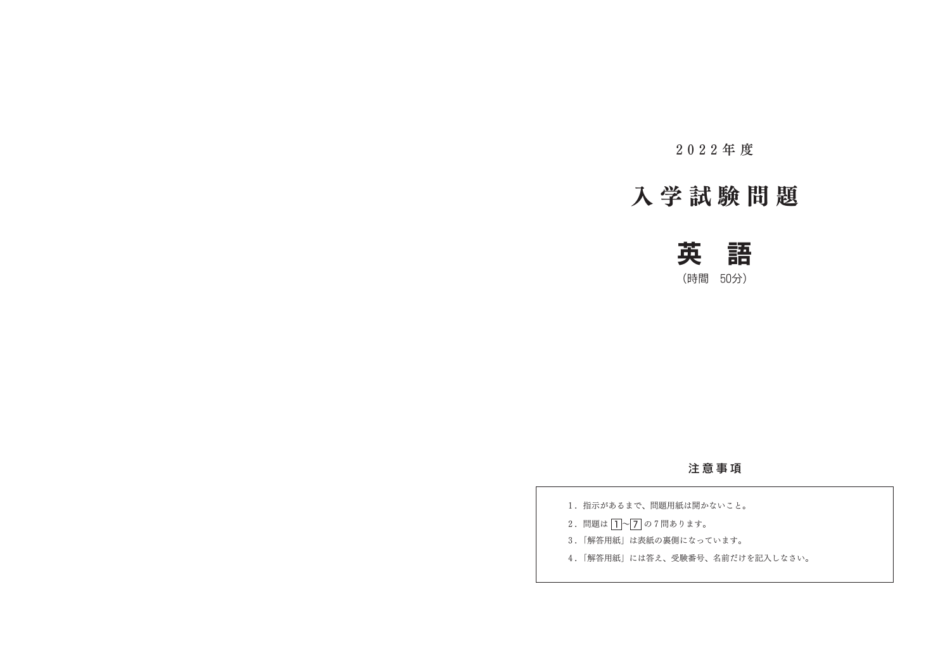2 0 2 2 年 度

## 入 学 試 験 問 題



(時間 50分)

## 注 意 事 項

1. 指示があるまで、問題用紙は開かないこと。 2. 問題は 1~7 の7問あります。 3.「解答用紙」は表紙の裏側になっています。 4.「解答用紙」には答え、受験番号、名前だけを記入しなさい。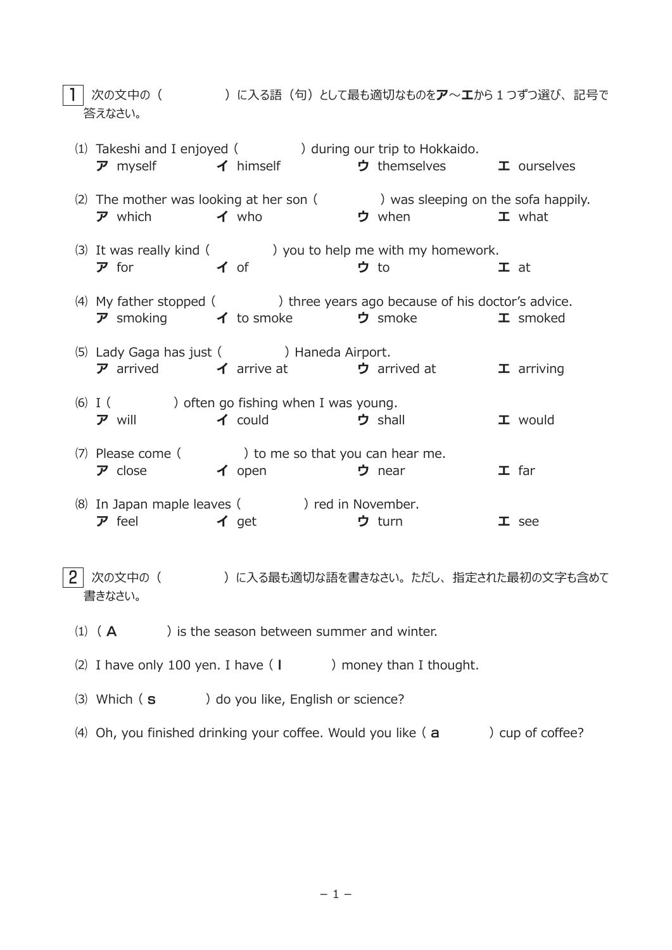1 次の文中の( )に入る語(句)として最も適切なものをア~エから 1 つずつ選び、 記号で 答えなさい。

|                                        | $(1)$ Takeshi and I enjoyed $($ $)$ during our trip to Hokkaido.<br>$\vec{v}$ myself $\vec{v}$ himself $\vec{v}$ themselves $\vec{v}$ ourselves    |               |                   |
|----------------------------------------|----------------------------------------------------------------------------------------------------------------------------------------------------|---------------|-------------------|
|                                        | (2) The mother was looking at her son $($ $)$ was sleeping on the sofa happily.<br>$\vec{v}$ which $\vec{v}$ who $\vec{v}$ when $\vec{v}$ what     |               |                   |
| $\overline{v}$ for $\overline{v}$ of   | (3) It was really kind (3) you to help me with my homework.                                                                                        | <b>ウ</b> to   | $\mathbf I$ at    |
|                                        | (4) My father stopped ( ) three years ago because of his doctor's advice.<br>$\vec{v}$ smoking $\vec{v}$ to smoke $\vec{v}$ smoke $\vec{v}$ smoked |               |                   |
|                                        | (5) Lady Gaga has just ( ) Haneda Airport.<br>$\vec{v}$ arrived $\vec{v}$ arrive at $\vec{v}$ arrived at $\vec{v}$ arriving                        |               |                   |
|                                        | $(6)$ I ( ) often go fishing when I was young.<br>ア will イ could ウ shall                                                                           |               | $\mathbf I$ would |
|                                        | (7) Please come ( ) to me so that you can hear me.<br>$\vec{v}$ close $\vec{v}$ open $\vec{v}$ near                                                |               | $I$ far           |
| $\overline{v}$ feel $\overline{v}$ get | (8) In Japan maple leaves ( ) red in November.                                                                                                     | <b>ウ</b> turn | $I$ see           |

 $\overline{2}$  次の文中の( ) に入る最も適切な語を書きなさい。 ただし、指定された最初の文字も含めて 書きなさい。

- (1)  $(A \cap A)$  is the season between summer and winter.
- (2) I have only 100 yen. I have ( I ) money than I thought.
- (3) Which ( s ) do you like, English or science?
- (4) Oh, you finished drinking your coffee. Would you like  $(a \rightarrow)$  cup of coffee?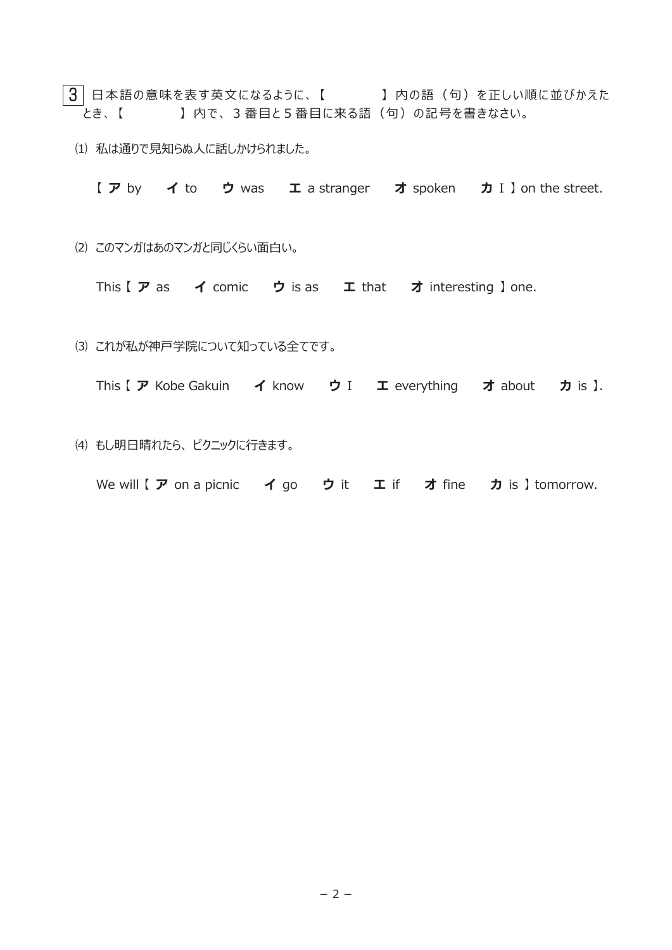- $\overline{\hspace{0.3cm}3\hspace{0.3cm}}\,$  日本語の意味を表す英文になるように、【  $\hspace{0.3cm}1\,$  内の語(句)を正しい順に並びかえた とき、 【 】 内で、 3 番目と5番目に来る語(句)の記号を書きなさい。
	- ⑴ 私は通りで見知らぬ人に話しかけられました。
		- 【 ア by イ to ウ was エ a stranger オ spoken カ I 】 on the street.
	- ⑵ このマンガはあのマンガと同じくらい面白い。
		- This  $[ \nabla \mathbf{a} \mathbf{s} \quad \mathbf{A} \text{ come}]$  comic  $\mathbf{b}$  is as  $\mathbf{I}$  that  $\mathbf{A}$  interesting ] one.
	- ⑶ これが私が神戸学院について知っている全てです。
		- This 【 ア Kobe Gakuin イ know ウ I エ everything オ about カ is 】.
	- ⑷ もし明日晴れたら、 ピクニックに行きます。
		- We will 【 ア on a picnic イ go ウ it エ if オ fine カ is 】 tomorrow.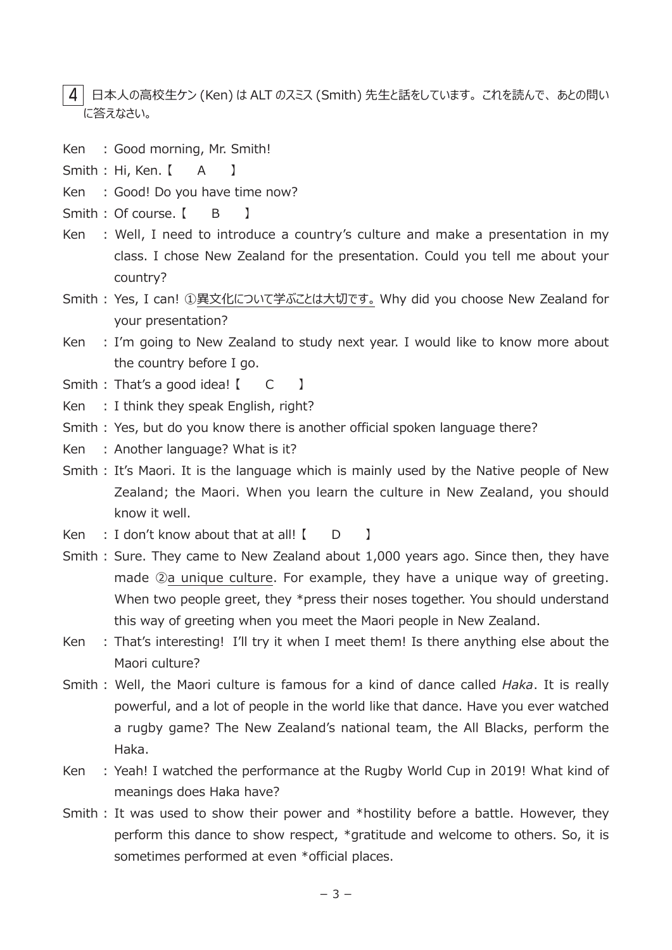4 日本人の高校生ケン (Ken) は ALT のスミス (Smith) 先生と話をしています。 これを読んで、 あとの問い に答えなさい。

- Ken : Good morning, Mr. Smith!
- Smith : Hi, Ken. [ A ]
- Ken : Good! Do you have time now?
- Smith : Of course. [ B ]
- Ken : Well, I need to introduce a country's culture and make a presentation in my class. I chose New Zealand for the presentation. Could you tell me about your country?
- Smith : Yes, I can! ①異文化について学ぶことは大切です。 Why did you choose New Zealand for your presentation?
- Ken : I'm going to New Zealand to study next year. I would like to know more about the country before I go.
- Smith : That's a good idea! [ C ]
- Ken : I think they speak English, right?
- Smith : Yes, but do you know there is another official spoken language there?
- Ken : Another language? What is it?
- Smith : It's Maori. It is the language which is mainly used by the Native people of New Zealand; the Maori. When you learn the culture in New Zealand, you should know it well.
- Ken  $\therefore$  I don't know about that at all!  $\begin{bmatrix} 1 & 0 \\ 0 & 1 \end{bmatrix}$
- Smith : Sure. They came to New Zealand about 1,000 years ago. Since then, they have made ②a unique culture. For example, they have a unique way of greeting. When two people greet, they \*press their noses together. You should understand this way of greeting when you meet the Maori people in New Zealand.
- Ken : That's interesting! I'll try it when I meet them! Is there anything else about the Maori culture?
- Smith : Well, the Maori culture is famous for a kind of dance called *Haka*. It is really powerful, and a lot of people in the world like that dance. Have you ever watched a rugby game? The New Zealand's national team, the All Blacks, perform the Haka.
- Ken : Yeah! I watched the performance at the Rugby World Cup in 2019! What kind of meanings does Haka have?
- Smith : It was used to show their power and \*hostility before a battle. However, they perform this dance to show respect, \*gratitude and welcome to others. So, it is sometimes performed at even \*official places.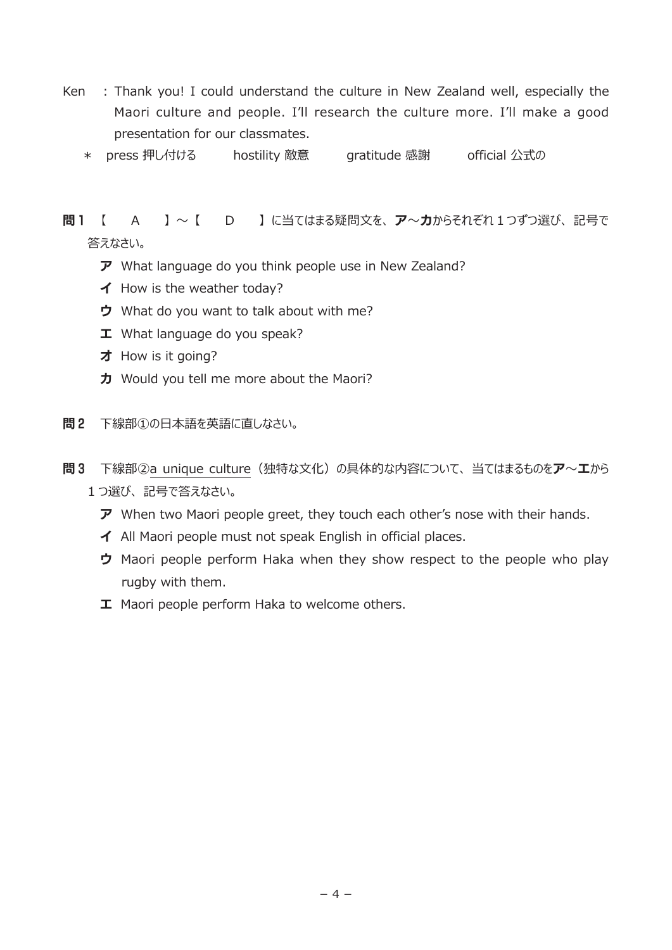- Ken : Thank you! I could understand the culture in New Zealand well, especially the Maori culture and people. I'll research the culture more. I'll make a good presentation for our classmates.
	- \* press 押し付ける hostility 敵意 gratitude 感謝 official 公式の

問1 【 A 】~【 D 】に当てはまる疑問文を、ア~カからそれぞれ1つずつ選び、記号で 答えなさい。

- ア What language do you think people use in New Zealand?
- イ How is the weather today?
- ウ What do you want to talk about with me?
- エ What language do you speak?
- オ How is it going?
- 力 Would you tell me more about the Maori?
- 問2 下線部①の日本語を英語に直しなさい。
- 問3 下線部2a unique culture (独特な文化)の具体的な内容について、 当てはまるものをア~エから
	- 1 つ選び、 記号で答えなさい。
		- $\vec{v}$  When two Maori people greet, they touch each other's nose with their hands.
		- イ All Maori people must not speak English in official places.
		- ウ Maori people perform Haka when they show respect to the people who play rugby with them.
		- **I** Maori people perform Haka to welcome others.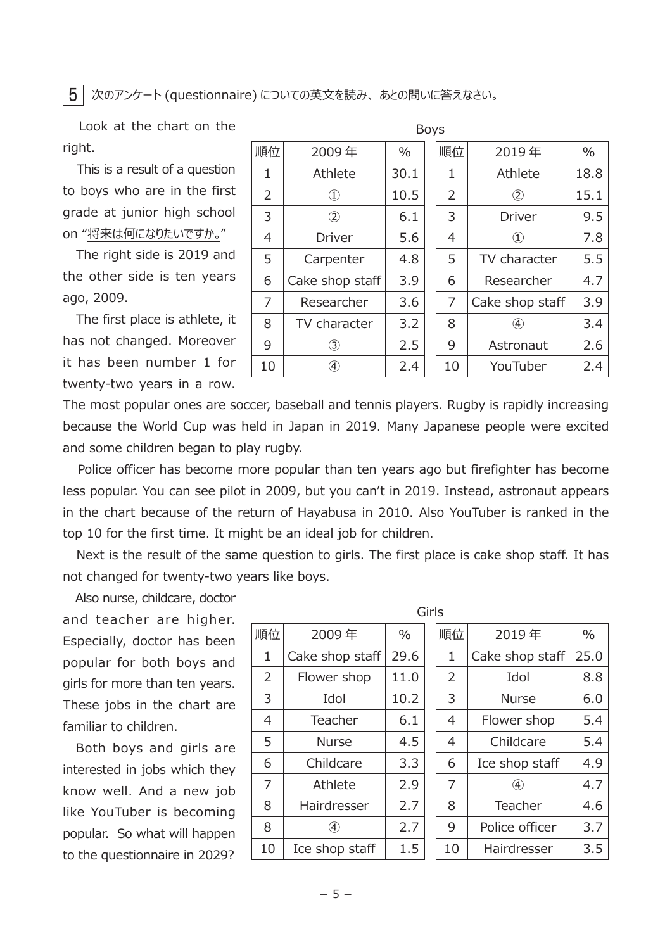5 次のアンケート (questionnaire) についての英文を読み、 あとの問いに答えなさい。

 Look at the chart on the right.

 This is a result of a question to boys who are in the first grade at junior high school on "将来は何になりたいですか。"

 The right side is 2019 and the other side is ten years ago, 2009.

 The first place is athlete, it has not changed. Moreover it has been number 1 for twenty-two years in a row.

| 2009年                               | $\%$ |  | 順位 | 2019年                          | $\%$ |  |  |  |  |  |  |
|-------------------------------------|------|--|----|--------------------------------|------|--|--|--|--|--|--|
| Athlete                             | 30.1 |  | 1  | Athlete                        | 18.8 |  |  |  |  |  |  |
| $^{\textcircled{\footnotesize{1}}}$ | 10.5 |  | 2  | $\circled{2}$                  | 15.1 |  |  |  |  |  |  |
| $^\mathrm{(2)}$                     | 6.1  |  | 3  | <b>Driver</b>                  | 9.5  |  |  |  |  |  |  |
| <b>Driver</b>                       | 5.6  |  | 4  | $\textcircled{\scriptsize{1}}$ | 7.8  |  |  |  |  |  |  |
| Carpenter                           | 4.8  |  | 5  | TV character                   | 5.5  |  |  |  |  |  |  |
| Cake shop staff                     | 3.9  |  | 6  | Researcher                     | 4.7  |  |  |  |  |  |  |
| Researcher                          | 3.6  |  | 7  | Cake shop staff                | 3.9  |  |  |  |  |  |  |
| TV character                        | 3.2  |  | 8  | G)                             | 3.4  |  |  |  |  |  |  |
| ③                                   | 2.5  |  | 9  | Astronaut                      | 2.6  |  |  |  |  |  |  |
| A)                                  | 2.4  |  | 10 | YouTuber                       | 2.4  |  |  |  |  |  |  |
|                                     |      |  |    | DUYS                           |      |  |  |  |  |  |  |

 $D \cap B$ 

The most popular ones are soccer, baseball and tennis players. Rugby is rapidly increasing because the World Cup was held in Japan in 2019. Many Japanese people were excited and some children began to play rugby.

 Police officer has become more popular than ten years ago but firefighter has become less popular. You can see pilot in 2009, but you can't in 2019. Instead, astronaut appears in the chart because of the return of Hayabusa in 2010. Also YouTuber is ranked in the top 10 for the first time. It might be an ideal job for children.

 Next is the result of the same question to girls. The first place is cake shop staff. It has not changed for twenty-two years like boys.

 Also nurse, childcare, doctor and teacher are higher. Especially, doctor has been popular for both boys and girls for more than ten years. These jobs in the chart are familiar to children.

 Both boys and girls are interested in jobs which they know well. And a new job like YouTuber is becoming popular. So what will happen to the questionnaire in 2029?

|                |                 |               | Girls |                |                   |               |
|----------------|-----------------|---------------|-------|----------------|-------------------|---------------|
| 順位             | 2009年           | $\frac{0}{0}$ |       | 順位             | 2019年             | $\frac{0}{0}$ |
| 1              | Cake shop staff | 29.6          |       | 1              | Cake shop staff   | 25.           |
| $\overline{2}$ | Flower shop     | 11.0          |       | $\overline{2}$ | Idol              | 8.            |
| 3              | Idol            | 10.2          |       | 3              | <b>Nurse</b>      | 6.            |
| 4              | Teacher         | 6.1           |       | 4              | Flower shop       | 5.            |
| 5              | <b>Nurse</b>    | 4.5           |       | 4              | Childcare         | 5.            |
| 6              | Childcare       | 3.3           |       | 6              | Ice shop staff    | 4.            |
| $\overline{7}$ | Athlete         | 2.9           |       | 7              | $\left( 4\right)$ | 4.            |
| 8              | Hairdresser     | 2.7           |       | 8              | Teacher           | 4.            |
| 8              | 4)              | 2.7           |       | 9              | Police officer    | 3.            |
| 10             | Ice shop staff  | 1.5           |       | 10             | Hairdresser       | 3.            |

| 順位 | 2009年             | $\%$ | 順位 | 2019年             | $\frac{0}{0}$ |
|----|-------------------|------|----|-------------------|---------------|
| 1  | Cake shop staff   | 29.6 | 1  | Cake shop staff   | 25.0          |
| 2  | Flower shop       | 11.0 | 2  | Idol              | 8.8           |
| 3  | Idol              | 10.2 | 3  | <b>Nurse</b>      | 6.0           |
| 4  | Teacher           | 6.1  | 4  | Flower shop       | 5.4           |
| 5  | <b>Nurse</b>      | 4.5  | 4  | Childcare         | 5.4           |
| 6  | Childcare         | 3.3  | 6  | Ice shop staff    | 4.9           |
| 7  | Athlete           | 2.9  | 7  | $\left( 4\right)$ | 4.7           |
| 8  | Hairdresser       | 2.7  | 8  | Teacher           | 4.6           |
| 8  | $\left( 4\right)$ | 2.7  | 9  | Police officer    | 3.7           |
| 10 | Ice shop staff    | 1.5  | 10 | Hairdresser       | 3.5           |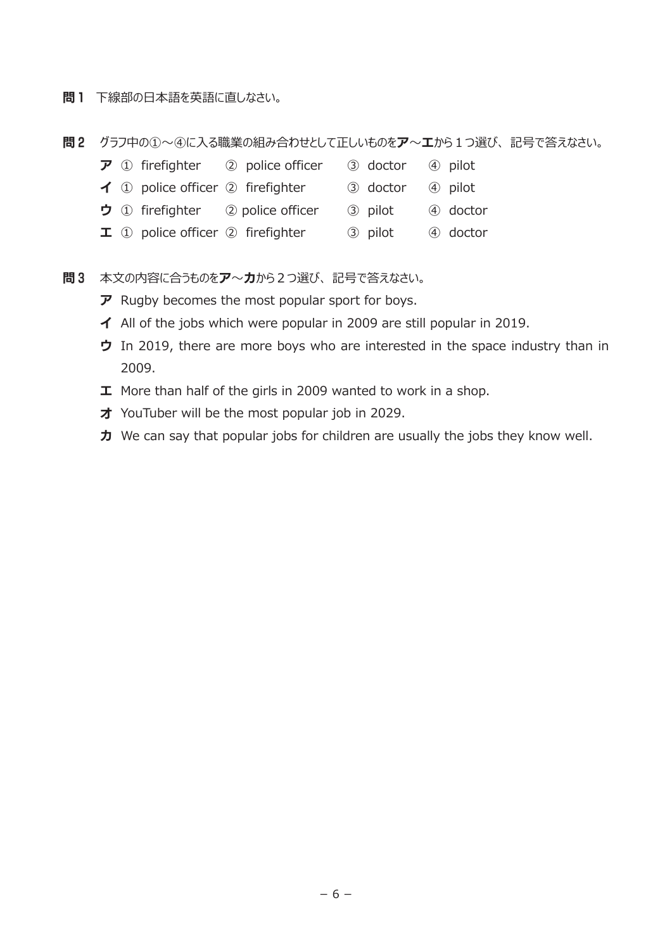- 問1 下線部の日本語を英語に直しなさい。
- ■2 グラフ中の①~④に入る職業の組み合わせとして正しいものをア~エから1つ選び、記号で答えなさい。

|  | $\overline{\mathcal{P}}$ ① firefighter ② police officer | 3 doctor 4 pilot |          |
|--|---------------------------------------------------------|------------------|----------|
|  | $\blacktriangleleft$ ① police officer ② firefighter     | 3 doctor 4 pilot |          |
|  | $\bigtriangledown$ 1 firefighter 2 police officer       | 3 pilot          | 4 doctor |
|  | $\mathbf I$ (1) police officer $\oslash$ firefighter    | 3 pilot          | 4 doctor |

- 日3 本文の内容に合うものをア~カから2つ選び、記号で答えなさい。
	- $\overline{\nu}$  Rugby becomes the most popular sport for boys.
	- イ All of the jobs which were popular in 2009 are still popular in 2019.
	- ウ In 2019, there are more boys who are interested in the space industry than in 2009.
	- エ More than half of the girls in 2009 wanted to work in a shop.
	- オ YouTuber will be the most popular job in 2029.
	- カ We can say that popular jobs for children are usually the jobs they know well.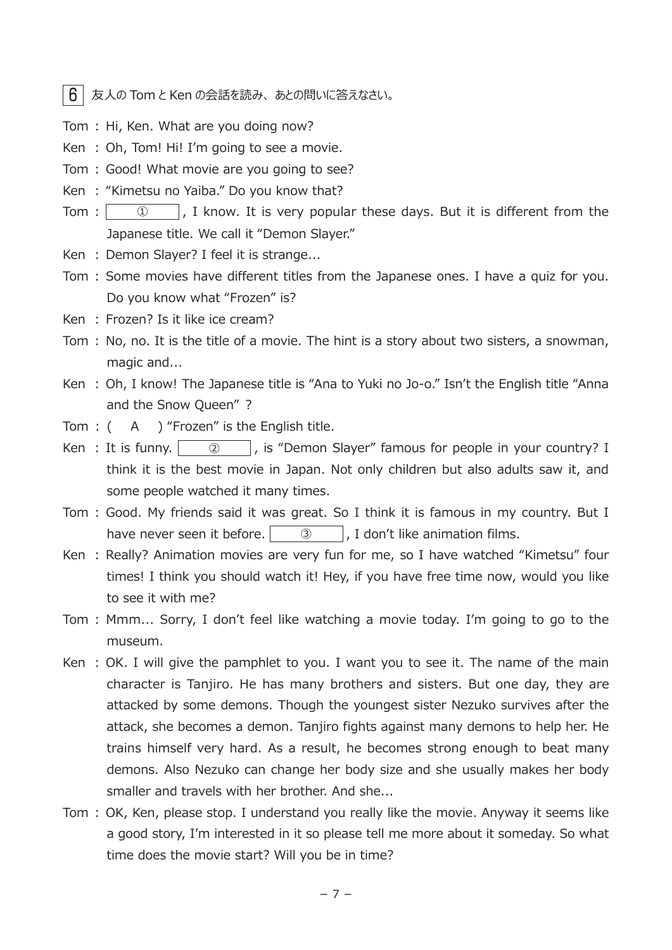$6$  | 友人の Tom と Ken の会話を読み、あとの問いに答えなさい。

Tom : Hi, Ken. What are you doing now?

Ken : Oh, Tom! Hi! I'm going to see a movie.

- Tom : Good! What movie are you going to see?
- Ken : "Kimetsu no Yaiba." Do you know that?
- Tom :  $\begin{vmatrix} 0 & 1 \end{vmatrix}$ , I know. It is very popular these days. But it is different from the Japanese title. We call it "Demon Slayer."
- Ken : Demon Slayer? I feel it is strange...
- Tom : Some movies have different titles from the Japanese ones. I have a quiz for you. Do you know what "Frozen" is?
- Ken : Frozen? Is it like ice cream?
- Tom : No, no. It is the title of a movie. The hint is a story about two sisters, a snowman, magic and...
- Ken : Oh, I know! The Japanese title is "Ana to Yuki no Jo-o." Isn't the English title "Anna and the Snow Queen" ?
- Tom : ( A ) "Frozen" is the English title.
- Ken : It is funny.  $\begin{vmatrix} 0 & 1 \end{vmatrix}$ , is "Demon Slayer" famous for people in your country? I think it is the best movie in Japan. Not only children but also adults saw it, and some people watched it many times.
- Tom : Good. My friends said it was great. So I think it is famous in my country. But I have never seen it before.  $\begin{vmatrix} 3 & 1 \end{vmatrix}$ , I don't like animation films.
- Ken : Really? Animation movies are very fun for me, so I have watched "Kimetsu" four times! I think you should watch it! Hey, if you have free time now, would you like to see it with me?
- Tom : Mmm... Sorry, I don't feel like watching a movie today. I'm going to go to the museum.
- Ken : OK. I will give the pamphlet to you. I want you to see it. The name of the main character is Tanjiro. He has many brothers and sisters. But one day, they are attacked by some demons. Though the youngest sister Nezuko survives after the attack, she becomes a demon. Tanjiro fights against many demons to help her. He trains himself very hard. As a result, he becomes strong enough to beat many demons. Also Nezuko can change her body size and she usually makes her body smaller and travels with her brother. And she...
- Tom : OK, Ken, please stop. I understand you really like the movie. Anyway it seems like a good story, I'm interested in it so please tell me more about it someday. So what time does the movie start? Will you be in time?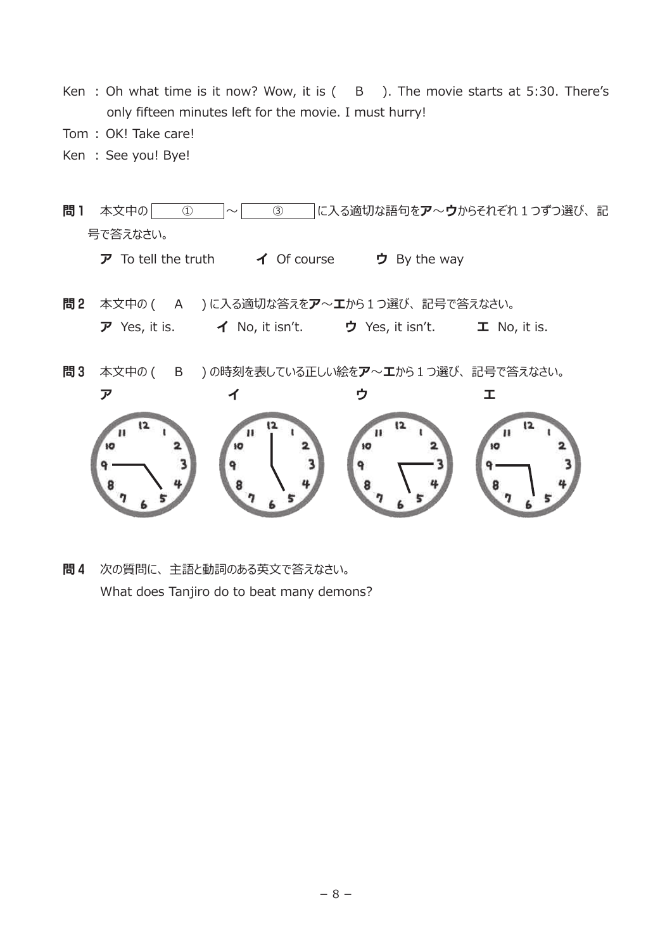- Ken : Oh what time is it now? Wow, it is ( B ). The movie starts at 5:30. There's only fifteen minutes left for the movie. I must hurry!
- Tom : OK! Take care!
- Ken : See you! Bye!

問1 本文中の ① △ △ ③ C入る適切な語句をア~ウからそれぞれ1つずつ選び、記 号で答えなさい。 ア To tell the truth  $\overline{A}$  Of course ウ By the way 問2 本文中の ( A )に入る適切な答えをア~エから1つ選び、記号で答えなさい。 ア Yes, it is.  $\blacktriangleleft$  No, it isn't. ウ Yes, it isn't. エ No, it is. **問3** 本文中の( B )の時刻を表している正しい絵をア~エから1つ選び、記号で答えなさい。 ア イ ウ エ **IO HO IO** se. ۹ ٩

問4 次の質問に、 主語と動詞のある英文で答えなさい。 What does Tanjiro do to beat many demons?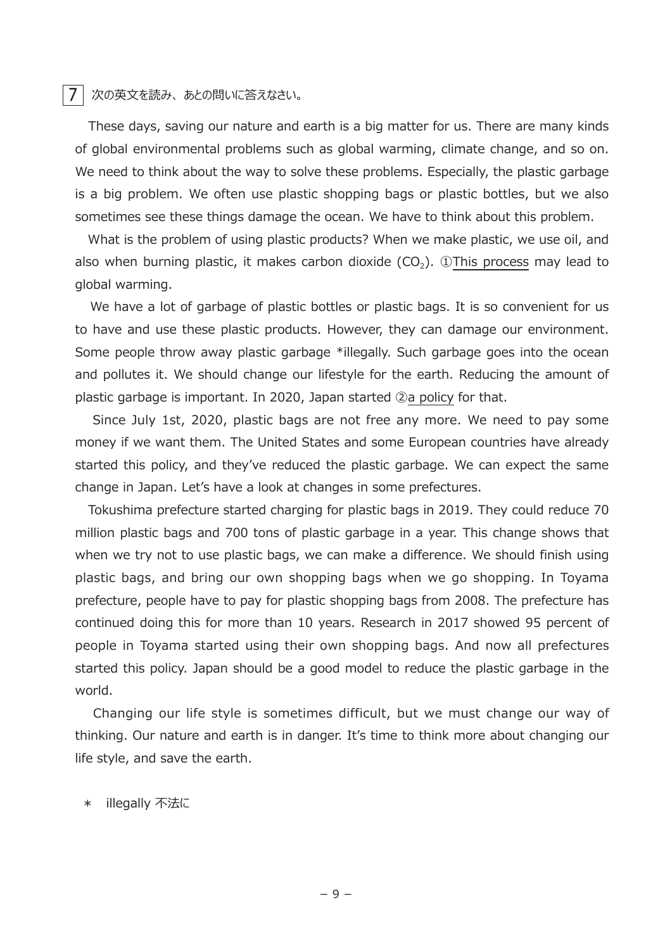## 7 次の英文を読み、 あとの問いに答えなさい。

 These days, saving our nature and earth is a big matter for us. There are many kinds of global environmental problems such as global warming, climate change, and so on. We need to think about the way to solve these problems. Especially, the plastic garbage is a big problem. We often use plastic shopping bags or plastic bottles, but we also sometimes see these things damage the ocean. We have to think about this problem.

 What is the problem of using plastic products? When we make plastic, we use oil, and also when burning plastic, it makes carbon dioxide  $(CO<sub>2</sub>)$ . ①This process may lead to global warming.

We have a lot of garbage of plastic bottles or plastic bags. It is so convenient for us to have and use these plastic products. However, they can damage our environment. Some people throw away plastic garbage \*illegally. Such garbage goes into the ocean and pollutes it. We should change our lifestyle for the earth. Reducing the amount of plastic garbage is important. In 2020, Japan started ②a policy for that.

 Since July 1st, 2020, plastic bags are not free any more. We need to pay some money if we want them. The United States and some European countries have already started this policy, and they've reduced the plastic garbage. We can expect the same change in Japan. Let's have a look at changes in some prefectures.

 Tokushima prefecture started charging for plastic bags in 2019. They could reduce 70 million plastic bags and 700 tons of plastic garbage in a year. This change shows that when we try not to use plastic bags, we can make a difference. We should finish using plastic bags, and bring our own shopping bags when we go shopping. In Toyama prefecture, people have to pay for plastic shopping bags from 2008. The prefecture has continued doing this for more than 10 years. Research in 2017 showed 95 percent of people in Toyama started using their own shopping bags. And now all prefectures started this policy. Japan should be a good model to reduce the plastic garbage in the world.

 Changing our life style is sometimes difficult, but we must change our way of thinking. Our nature and earth is in danger. It's time to think more about changing our life style, and save the earth.

\* illegally 不法に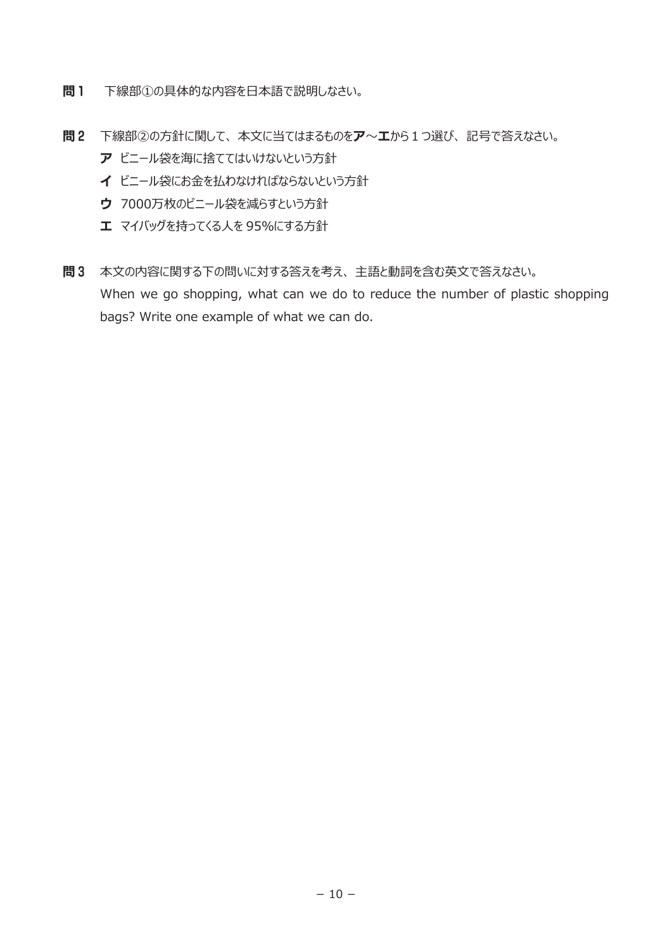- 問1 下線部①の具体的な内容を日本語で説明しなさい。
- 問2 下線部②の方針に関して、 本文に当てはまるものをア~エから1つ選び、 記号で答えなさい。
	- ア ビニール袋を海に捨ててはいけないという方針
	- イ ビニール袋にお金を払わなければならないという方針
	- ウ 7000万枚のビニール袋を減らすという方針
	- エ マイバッグを持ってくる人を 95%にする方針
- 問3 本文の内容に関する下の問いに対する答えを考え、 主語と動詞を含む英文で答えなさい。 When we go shopping, what can we do to reduce the number of plastic shopping bags? Write one example of what we can do.